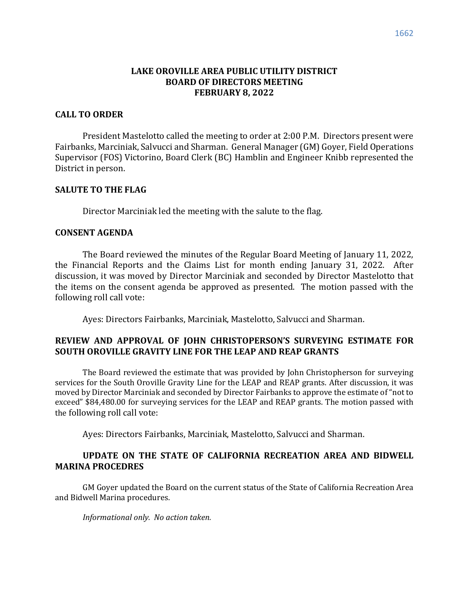# **LAKE OROVILLE AREA PUBLIC UTILITY DISTRICT BOARD OF DIRECTORS MEETING FEBRUARY 8, 2022**

### **CALL TO ORDER**

President Mastelotto called the meeting to order at 2:00 P.M. Directors present were Fairbanks, Marciniak, Salvucci and Sharman. General Manager (GM) Goyer, Field Operations Supervisor (FOS) Victorino, Board Clerk (BC) Hamblin and Engineer Knibb represented the District in person.

### **SALUTE TO THE FLAG**

Director Marciniak led the meeting with the salute to the flag.

#### **CONSENT AGENDA**

The Board reviewed the minutes of the Regular Board Meeting of January 11, 2022, the Financial Reports and the Claims List for month ending January 31, 2022. After discussion, it was moved by Director Marciniak and seconded by Director Mastelotto that the items on the consent agenda be approved as presented. The motion passed with the following roll call vote:

Ayes: Directors Fairbanks, Marciniak, Mastelotto, Salvucci and Sharman.

# **REVIEW AND APPROVAL OF JOHN CHRISTOPERSON'S SURVEYING ESTIMATE FOR SOUTH OROVILLE GRAVITY LINE FOR THE LEAP AND REAP GRANTS**

The Board reviewed the estimate that was provided by John Christopherson for surveying services for the South Oroville Gravity Line for the LEAP and REAP grants. After discussion, it was moved by Director Marciniak and seconded by Director Fairbanks to approve the estimate of "not to exceed" \$84,480.00 for surveying services for the LEAP and REAP grants. The motion passed with the following roll call vote:

Ayes: Directors Fairbanks, Marciniak, Mastelotto, Salvucci and Sharman.

# **UPDATE ON THE STATE OF CALIFORNIA RECREATION AREA AND BIDWELL MARINA PROCEDRES**

GM Goyer updated the Board on the current status of the State of California Recreation Area and Bidwell Marina procedures.

*Informational only. No action taken.*